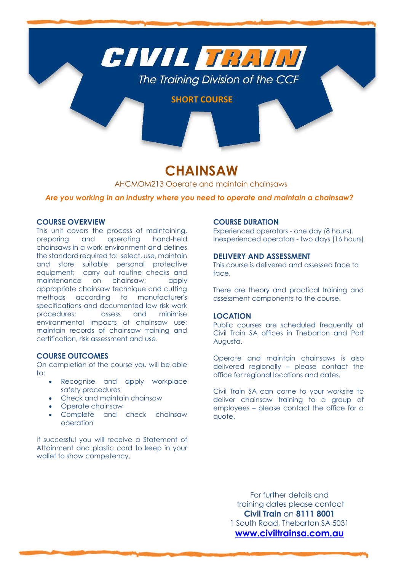

# **CHAINSAW**

AHCMOM213 Operate and maintain chainsaws

*Are you working in an industry where you need to operate and maintain a chainsaw?*

# **COURSE OVERVIEW**

This unit covers the process of maintaining, preparing and operating hand-held chainsaws in a work environment and defines the standard required to: select, use, maintain and store suitable personal protective equipment; carry out routine checks and maintenance on chainsaw; apply appropriate chainsaw technique and cutting methods according to manufacturer's specifications and documented low risk work procedures; assess and minimise environmental impacts of chainsaw use; maintain records of chainsaw training and certification, risk assessment and use.

# **COURSE OUTCOMES**

On completion of the course you will be able to:

- Recognise and apply workplace safety procedures
- Check and maintain chainsaw
- Operate chainsaw
- Complete and check chainsaw operation

If successful you will receive a Statement of Attainment and plastic card to keep in your wallet to show competency.

# **COURSE DURATION**

Experienced operators - one day (8 hours). Inexperienced operators - two days (16 hours)

# **DELIVERY AND ASSESSMENT**

This course is delivered and assessed face to face.

There are theory and practical training and assessment components to the course.

# **LOCATION**

Public courses are scheduled frequently at Civil Train SA offices in Thebarton and Port Augusta.

Operate and maintain chainsaws is also delivered regionally – please contact the office for regional locations and dates.

Civil Train SA can come to your worksite to deliver chainsaw training to a group of employees – please contact the office for a quote.

> For further details and training dates please contact **Civil Train** on **8111 8001** 1 South Road, Thebarton SA 5031 **[www.civiltrainsa.com.au](http://www.civiltrainsa.com.au/)**